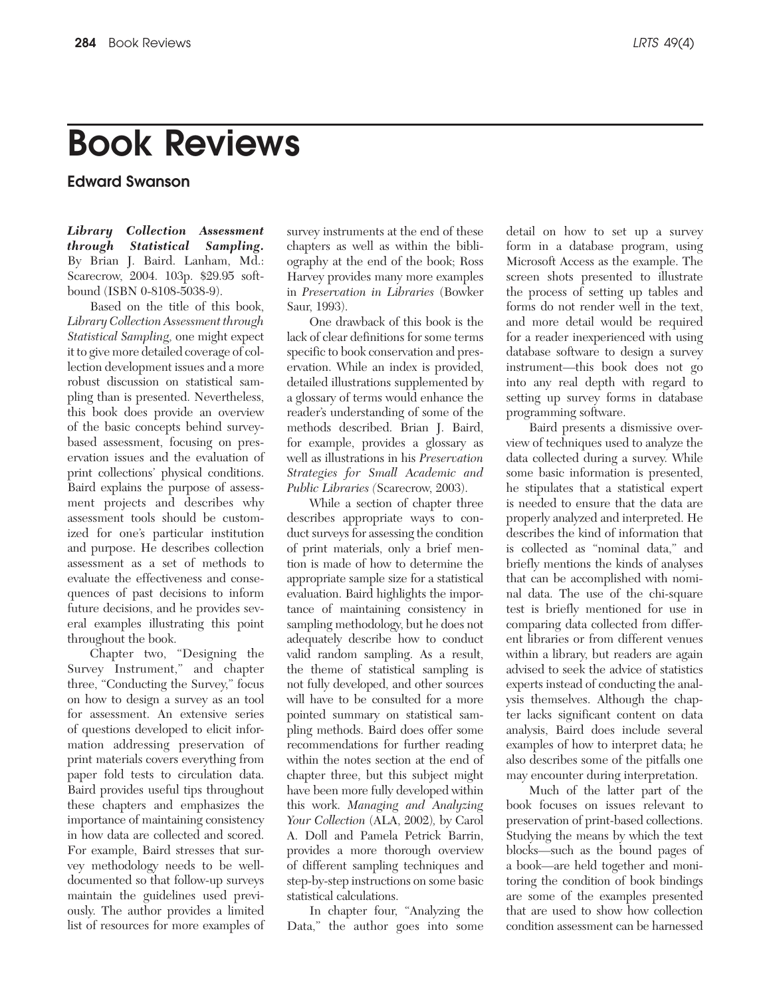## **Book Reviews**

**Edward Swanson**

*Library Collection Assessment through Statistical Sampling.*  By Brian J. Baird. Lanham, Md.: Scarecrow, 2004. 103p. \$29.95 softbound (ISBN 0-8108-5038-9).

Based on the title of this book, *Library Collection Assessment through Statistical Sampling,* one might expect it to give more detailed coverage of collection development issues and a more robust discussion on statistical sampling than is presented. Nevertheless, this book does provide an overview of the basic concepts behind surveybased assessment, focusing on preservation issues and the evaluation of print collections' physical conditions. Baird explains the purpose of assessment projects and describes why assessment tools should be customized for one's particular institution and purpose. He describes collection assessment as a set of methods to evaluate the effectiveness and consequences of past decisions to inform future decisions, and he provides several examples illustrating this point throughout the book.

Chapter two, "Designing the Survey Instrument," and chapter three, "Conducting the Survey," focus on how to design a survey as an tool for assessment. An extensive series of questions developed to elicit information addressing preservation of print materials covers everything from paper fold tests to circulation data. Baird provides useful tips throughout these chapters and emphasizes the importance of maintaining consistency in how data are collected and scored. For example, Baird stresses that survey methodology needs to be welldocumented so that follow-up surveys maintain the guidelines used previously. The author provides a limited list of resources for more examples of

survey instruments at the end of these chapters as well as within the bibliography at the end of the book; Ross Harvey provides many more examples in *Preservation in Libraries* (Bowker Saur, 1993).

One drawback of this book is the lack of clear definitions for some terms specific to book conservation and preservation. While an index is provided, detailed illustrations supplemented by a glossary of terms would enhance the reader's understanding of some of the methods described. Brian J. Baird, for example, provides a glossary as well as illustrations in his *Preservation Strategies for Small Academic and Public Libraries (*Scarecrow, 2003).

While a section of chapter three describes appropriate ways to conduct surveys for assessing the condition of print materials, only a brief mention is made of how to determine the appropriate sample size for a statistical evaluation. Baird highlights the importance of maintaining consistency in sampling methodology, but he does not adequately describe how to conduct valid random sampling. As a result, the theme of statistical sampling is not fully developed, and other sources will have to be consulted for a more pointed summary on statistical sampling methods. Baird does offer some recommendations for further reading within the notes section at the end of chapter three, but this subject might have been more fully developed within this work. *Managing and Analyzing Your Collection* (ALA, 2002)*,* by Carol A. Doll and Pamela Petrick Barrin, provides a more thorough overview of different sampling techniques and step-by-step instructions on some basic statistical calculations.

In chapter four, "Analyzing the Data," the author goes into some detail on how to set up a survey form in a database program, using Microsoft Access as the example. The screen shots presented to illustrate the process of setting up tables and forms do not render well in the text, and more detail would be required for a reader inexperienced with using database software to design a survey instrument—this book does not go into any real depth with regard to setting up survey forms in database programming software.

Baird presents a dismissive overview of techniques used to analyze the data collected during a survey. While some basic information is presented, he stipulates that a statistical expert is needed to ensure that the data are properly analyzed and interpreted. He describes the kind of information that is collected as "nominal data," and briefly mentions the kinds of analyses that can be accomplished with nominal data. The use of the chi-square test is briefly mentioned for use in comparing data collected from different libraries or from different venues within a library, but readers are again advised to seek the advice of statistics experts instead of conducting the analysis themselves. Although the chapter lacks significant content on data analysis, Baird does include several examples of how to interpret data; he also describes some of the pitfalls one may encounter during interpretation.

Much of the latter part of the book focuses on issues relevant to preservation of print-based collections. Studying the means by which the text blocks—such as the bound pages of a book—are held together and monitoring the condition of book bindings are some of the examples presented that are used to show how collection condition assessment can be harnessed